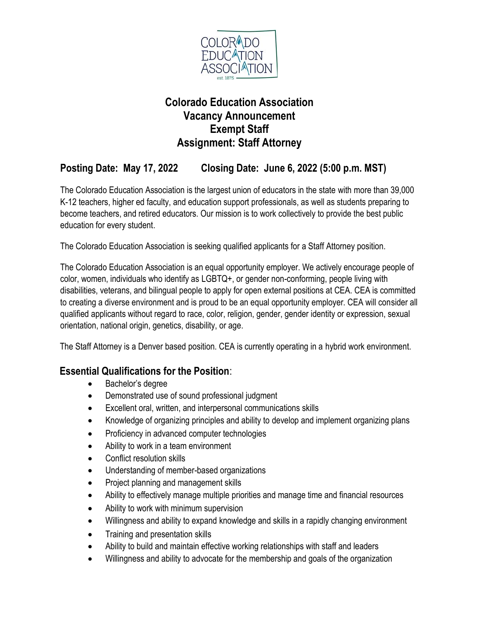

# **Colorado Education Association Vacancy Announcement Exempt Staff Assignment: Staff Attorney**

# **Posting Date: May 17, 2022 Closing Date: June 6, 2022 (5:00 p.m. MST)**

The Colorado Education Association is the largest union of educators in the state with more than 39,000 K-12 teachers, higher ed faculty, and education support professionals, as well as students preparing to become teachers, and retired educators. Our mission is to work collectively to provide the best public education for every student.

The Colorado Education Association is seeking qualified applicants for a Staff Attorney position.

The Colorado Education Association is an equal opportunity employer. We actively encourage people of color, women, individuals who identify as LGBTQ+, or gender non-conforming, people living with disabilities, veterans, and bilingual people to apply for open external positions at CEA. CEA is committed to creating a diverse environment and is proud to be an equal opportunity employer. CEA will consider all qualified applicants without regard to race, color, religion, gender, gender identity or expression, sexual orientation, national origin, genetics, disability, or age.

The Staff Attorney is a Denver based position. CEA is currently operating in a hybrid work environment.

#### **Essential Qualifications for the Position**:

- Bachelor's degree
- Demonstrated use of sound professional judgment
- Excellent oral, written, and interpersonal communications skills
- Knowledge of organizing principles and ability to develop and implement organizing plans
- Proficiency in advanced computer technologies
- Ability to work in a team environment
- Conflict resolution skills
- Understanding of member-based organizations
- Project planning and management skills
- Ability to effectively manage multiple priorities and manage time and financial resources
- Ability to work with minimum supervision
- Willingness and ability to expand knowledge and skills in a rapidly changing environment
- Training and presentation skills
- Ability to build and maintain effective working relationships with staff and leaders
- Willingness and ability to advocate for the membership and goals of the organization